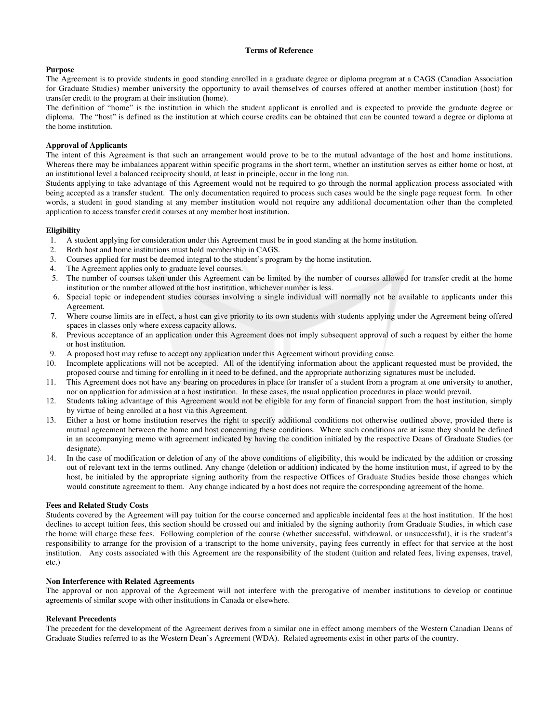## **Terms of Reference**

### **Purpose**

The Agreement is to provide students in good standing enrolled in a graduate degree or diploma program at a CAGS (Canadian Association for Graduate Studies) member university the opportunity to avail themselves of courses offered at another member institution (host) for transfer credit to the program at their institution (home).

The definition of "home" is the institution in which the student applicant is enrolled and is expected to provide the graduate degree or diploma. The "host" is defined as the institution at which course credits can be obtained that can be counted toward a degree or diploma at the home institution.

### **Approval of Applicants**

The intent of this Agreement is that such an arrangement would prove to be to the mutual advantage of the host and home institutions. Whereas there may be imbalances apparent within specific programs in the short term, whether an institution serves as either home or host, at an institutional level a balanced reciprocity should, at least in principle, occur in the long run.

Students applying to take advantage of this Agreement would not be required to go through the normal application process associated with being accepted as a transfer student. The only documentation required to process such cases would be the single page request form. In other words, a student in good standing at any member institution would not require any additional documentation other than the completed application to access transfer credit courses at any member host institution.

### **Eligibility**

- 1. A student applying for consideration under this Agreement must be in good standing at the home institution.
- 2. Both host and home institutions must hold membership in CAGS.
- 3. Courses applied for must be deemed integral to the student's program by the home institution.
- 4. The Agreement applies only to graduate level courses.
- 5. The number of courses taken under this Agreement can be limited by the number of courses allowed for transfer credit at the home institution or the number allowed at the host institution, whichever number is less.
- 6. Special topic or independent studies courses involving a single individual will normally not be available to applicants under this Agreement.
- 7. Where course limits are in effect, a host can give priority to its own students with students applying under the Agreement being offered spaces in classes only where excess capacity allows.
- 8. Previous acceptance of an application under this Agreement does not imply subsequent approval of such a request by either the home or host institution.
- 9. A proposed host may refuse to accept any application under this Agreement without providing cause.
- 10. Incomplete applications will not be accepted. All of the identifying information about the applicant requested must be provided, the proposed course and timing for enrolling in it need to be defined, and the appropriate authorizing signatures must be included.
- 11. This Agreement does not have any bearing on procedures in place for transfer of a student from a program at one university to another, nor on application for admission at a host institution. In these cases, the usual application procedures in place would prevail.
- 12. Students taking advantage of this Agreement would not be eligible for any form of financial support from the host institution, simply by virtue of being enrolled at a host via this Agreement.
- 13. Either a host or home institution reserves the right to specify additional conditions not otherwise outlined above, provided there is mutual agreement between the home and host concerning these conditions. Where such conditions are at issue they should be defined in an accompanying memo with agreement indicated by having the condition initialed by the respective Deans of Graduate Studies (or designate).
- 14. In the case of modification or deletion of any of the above conditions of eligibility, this would be indicated by the addition or crossing out of relevant text in the terms outlined. Any change (deletion or addition) indicated by the home institution must, if agreed to by the host, be initialed by the appropriate signing authority from the respective Offices of Graduate Studies beside those changes which would constitute agreement to them. Any change indicated by a host does not require the corresponding agreement of the home.

## **Fees and Related Study Costs**

Students covered by the Agreement will pay tuition for the course concerned and applicable incidental fees at the host institution. If the host declines to accept tuition fees, this section should be crossed out and initialed by the signing authority from Graduate Studies, in which case the home will charge these fees. Following completion of the course (whether successful, withdrawal, or unsuccessful), it is the student's responsibility to arrange for the provision of a transcript to the home university, paying fees currently in effect for that service at the host institution. Any costs associated with this Agreement are the responsibility of the student (tuition and related fees, living expenses, travel, etc.)

#### **Non Interference with Related Agreements**

The approval or non approval of the Agreement will not interfere with the prerogative of member institutions to develop or continue agreements of similar scope with other institutions in Canada or elsewhere.

#### **Relevant Precedents**

The precedent for the development of the Agreement derives from a similar one in effect among members of the Western Canadian Deans of Graduate Studies referred to as the Western Dean's Agreement (WDA). Related agreements exist in other parts of the country.